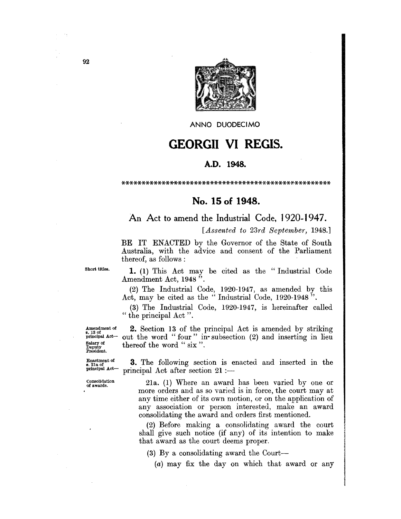

ANNO DUODECIMO

## GEORGII VI REGIS.

## A.D. 1948.

\*\*\*\*\*\*\*\*\*\*\*\*\*\*\*\*\*\*\*\*\*\*\*\*\*\*\*\*\*\*\*\*\*\*\*\*\*\*\*\*\*\*\*\*\*\*\*\*\*\*\*\*

## No. 15 of 1948.

## An Act to amend the Industrial Code, 1920-1947.

*[Assented to 23rd September, 1948.]* 

BE IT ENACTED by the Governor of the State of South Australia, with the advice and consent of the Parliament thereof, as follows :

Short titles.

1. (1) This Act may be cited as the "Industrial Code Amendment Act, 1948".

(2) The Industrial Code, 1920-1947, as amended by this Act, may be cited as the "Industrial Code, 1920-1948".

(3) The Industrial Code, 1920-1947, is hereinafter called " the principal Act".

Amendment of<br>s. 13 of<br>principal Act— Salary of Deputy President.

2. Section 13 of the principal Act is amended by striking out the word "four" in subsection (2) and inserting in lieu thereof the word " six".

Enactment of 8. 21a of principal Act-

3. The following section is enacted and inserted in the principal Act after section  $21 :=$ 

Consolidation of awards.

21a. (1) Where an award has been varied by one or more orders and as so varied is in force, the court may at any time either of its own motion, or on the application of any association or person jnterested, make an award consolidating the award and orders first mentioned.

(2) Before making a consoljdating award the court shall give such notice (if any) of its intention to make that award as the court deems proper.

(3) By a consolidating award the Court-

(a) may fix the day on which that award or any